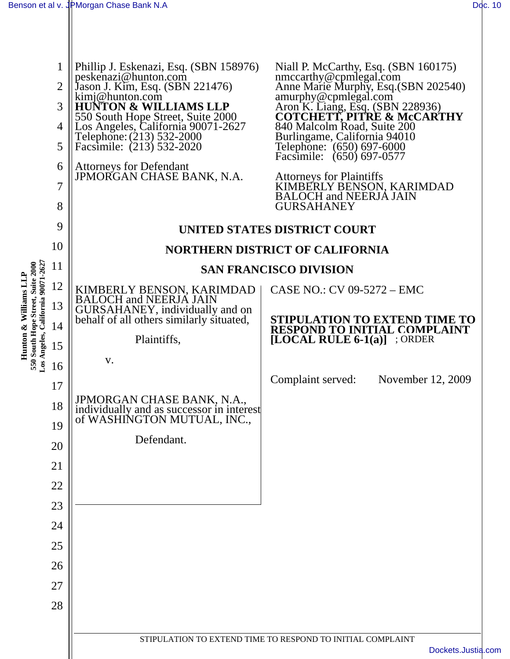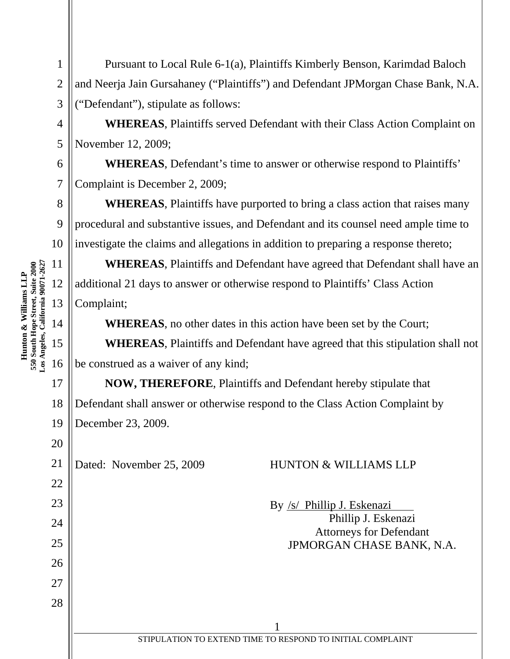8 9 10 **Los Angeles, California 90071-2627**  11 550 South Hope Street, Suite 2000<br>Los Angeles, California 90071-2627 **550 South Hope Street, Suite 2000**  12 13 14 15 16

**Hunton & Williams LLP** 

Hunton & Williams LLP

17

20

22

23

24

25

26

27

28

1

2

3

4

5

6

7

Pursuant to Local Rule 6-1(a), Plaintiffs Kimberly Benson, Karimdad Baloch and Neerja Jain Gursahaney ("Plaintiffs") and Defendant JPMorgan Chase Bank, N.A. ("Defendant"), stipulate as follows:

**WHEREAS**, Plaintiffs served Defendant with their Class Action Complaint on November 12, 2009;

**WHEREAS**, Defendant's time to answer or otherwise respond to Plaintiffs' Complaint is December 2, 2009;

**WHEREAS**, Plaintiffs have purported to bring a class action that raises many procedural and substantive issues, and Defendant and its counsel need ample time to investigate the claims and allegations in addition to preparing a response thereto;

**WHEREAS**, Plaintiffs and Defendant have agreed that Defendant shall have an additional 21 days to answer or otherwise respond to Plaintiffs' Class Action Complaint;

**WHEREAS**, no other dates in this action have been set by the Court;

**WHEREAS**, Plaintiffs and Defendant have agreed that this stipulation shall not be construed as a waiver of any kind;

18 19 **NOW, THEREFORE**, Plaintiffs and Defendant hereby stipulate that Defendant shall answer or otherwise respond to the Class Action Complaint by December 23, 2009.

21

## Dated: November 25, 2009 HUNTON & WILLIAMS LLP

By /s/ Phillip J. Eskenazi Phillip J. Eskenazi Attorneys for Defendant JPMORGAN CHASE BANK, N.A.